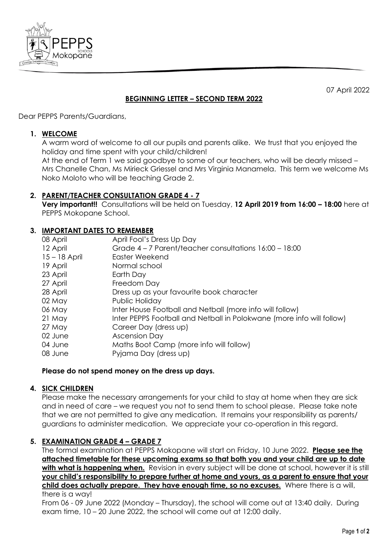

07 April 2022

# **BEGINNING LETTER – SECOND TERM 2022**

Dear PEPPS Parents/Guardians,

#### **1. WELCOME**

A warm word of welcome to all our pupils and parents alike. We trust that you enjoyed the holiday and time spent with your child/children!

At the end of Term 1 we said goodbye to some of our teachers, who will be dearly missed – Mrs Chanelle Chan, Ms Mirieck Griessel and Mrs Virginia Manamela. This term we welcome Ms Noko Moloto who will be teaching Grade 2.

## **2. PARENT/TEACHER CONSULTATION GRADE 4 - 7**

**Very important!!** Consultations will be held on Tuesday, **12 April 2019 from 16:00 – 18:00** here at PEPPS Mokopane School.

## **3. IMPORTANT DATES TO REMEMBER**

| 08 April        | April Fool's Dress Up Day                                             |
|-----------------|-----------------------------------------------------------------------|
| 12 April        | Grade 4 – 7 Parent/teacher consultations 16:00 – 18:00                |
| $15 - 18$ April | Easter Weekend                                                        |
| 19 April        | Normal school                                                         |
| 23 April        | Earth Day                                                             |
| 27 April        | Freedom Day                                                           |
| 28 April        | Dress up as your favourite book character                             |
| 02 May          | Public Holiday                                                        |
| 06 May          | Inter House Football and Netball (more info will follow)              |
| 21 May          | Inter PEPPS Football and Netball in Polokwane (more info will follow) |
| 27 May          | Career Day (dress up)                                                 |
| 02 June         | <b>Ascension Day</b>                                                  |
| 04 June         | Maths Boot Camp (more info will follow)                               |
| 08 June         | Pyjama Day (dress up)                                                 |
|                 |                                                                       |

#### **Please do not spend money on the dress up days.**

## **4. SICK CHILDREN**

Please make the necessary arrangements for your child to stay at home when they are sick and in need of care – we request you not to send them to school please. Please take note that we are not permitted to give any medication. It remains your responsibility as parents/ guardians to administer medication. We appreciate your co-operation in this regard.

## **5. EXAMINATION GRADE 4 – GRADE 7**

The formal examination at PEPPS Mokopane will start on Friday, 10 June 2022. **Please see the attached timetable for these upcoming exams so that both you and your child are up to date**  with what is happening when. Revision in every subject will be done at school, however it is still **your child's responsibility to prepare further at home and yours, as a parent to ensure that your child does actually prepare. They have enough time, so no excuses.** Where there is a will, there is a way!

From 06 - 09 June 2022 (Monday – Thursday), the school will come out at 13:40 daily. During exam time, 10 – 20 June 2022, the school will come out at 12:00 daily.